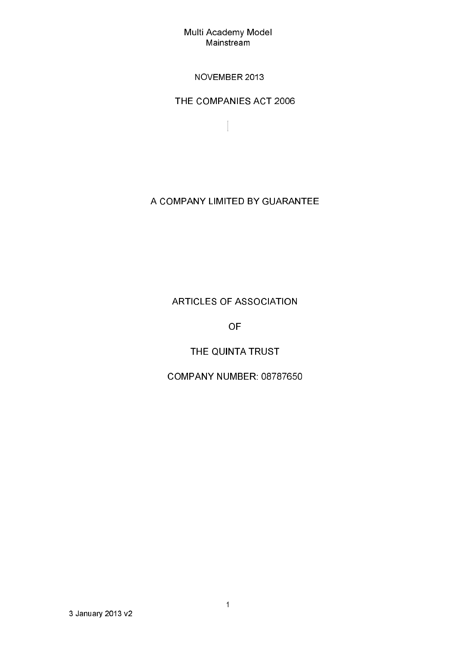### NOVEMBER 2013

THE COMPANIES ACT 2006

 $\begin{bmatrix} \phantom{-} \end{bmatrix}$ 

# A COMPANY LIMITED BY GUARANTEE

**ARTICLES OF ASSOCIATION** 

**OF** 

THE QUINTA TRUST

COMPANY NUMBER: 08787650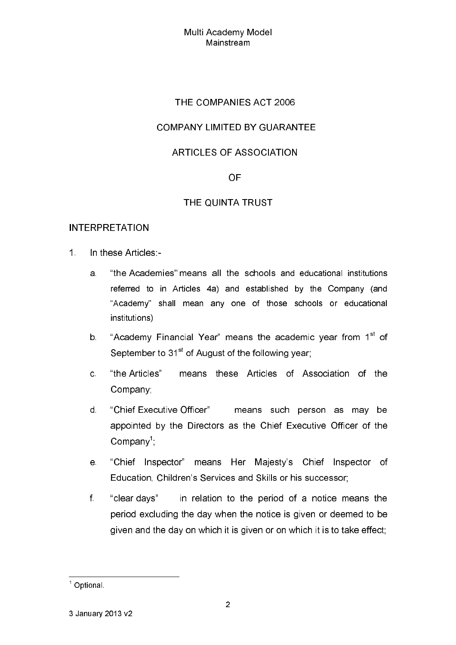## THE COMPANIES ACT 2006

## **COMPANY LIMITED BY GUARANTEE**

## **ARTICLES OF ASSOCIATION**

#### **OF**

### THE QUINTA TRUST

#### **INTERPRETATION**

- $1<sup>1</sup>$ In these Articles -
	- "the Academies" means all the schools and educational institutions a. referred to in Articles 4a) and established by the Company (and "Academy" shall mean any one of those schools or educational institutions)
	- "Academy Financial Year" means the academic year from 1<sup>st</sup> of  $b -$ September to 31<sup>st</sup> of August of the following year;
	- "the Articles" means these Articles of Association of the  $\mathbf{C}$ Company:
	- "Chief Executive Officer"  $\mathsf{d}$ means such person as may be appointed by the Directors as the Chief Executive Officer of the  $Company<sup>1</sup>$ :
	- "Chief Inspector" means Her Majesty's Chief Inspector of e. Education, Children's Services and Skills or his successor;
	- $f$ "clear days" in relation to the period of a notice means the period excluding the day when the notice is given or deemed to be given and the day on which it is given or on which it is to take effect;

 $1$  Optional.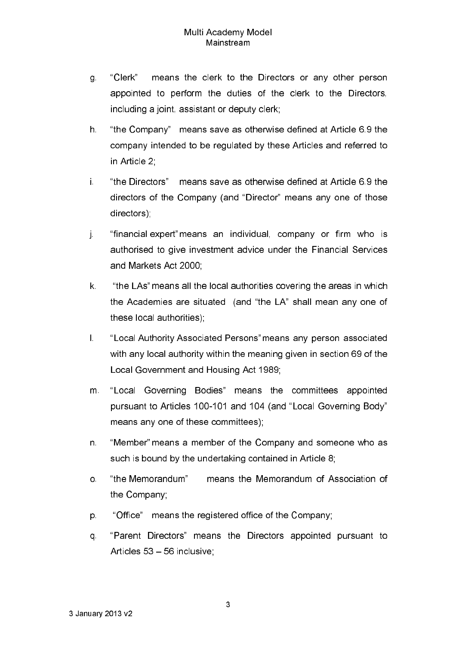- "Clerk" means the clerk to the Directors or any other person g. appointed to perform the duties of the clerk to the Directors, including a joint, assistant or deputy clerk;
- $h$ "the Company" means save as otherwise defined at Article 6.9 the company intended to be regulated by these Articles and referred to in Article 2
- Ť. "the Directors" means save as otherwise defined at Article 6.9 the directors of the Company (and "Director" means any one of those directors)
- "financial expert" means an individual, company or firm who is Ť. authorised to give investment advice under the Financial Services and Markets Act 2000;
- "the LAs" means all the local authorities covering the areas in which k. the Academies are situated (and "the LA" shall mean any one of these local authorities).
- "Local Authority Associated Persons" means any person associated  $\mathbf{L}$ with any local authority within the meaning given in section 69 of the Local Government and Housing Act 1989:
- "Local Governing Bodies" means the committees appointed m. pursuant to Articles 100-101 and 104 (and "Local Governing Body" means any one of these committees),
- n. "Member" means a member of the Company and someone who as such is bound by the undertaking contained in Article 8:
- "the Memorandum" means the Memorandum of Association of  $\overline{O}$ the Company:
- "Office" means the registered office of the Company; p.
- "Parent Directors" means the Directors appointed pursuant to q. Articles 53 - 56 inclusive: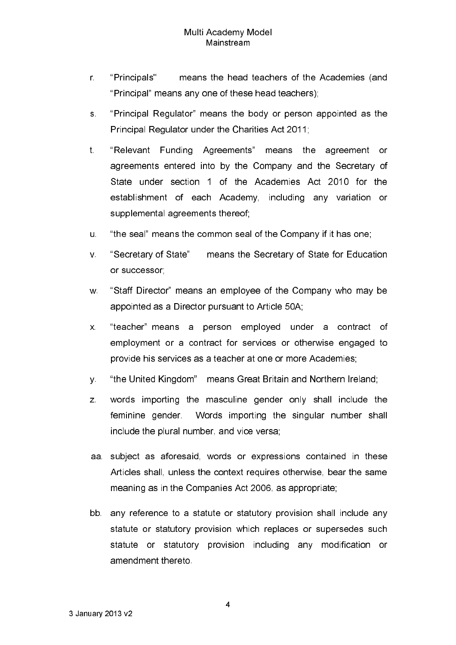- means the head teachers of the Academies (and r. "Principals" "Principal" means any one of these head teachers);
- "Principal Regulator" means the body or person appointed as the  $S<sub>1</sub>$ Principal Regulator under the Charities Act 2011;
- "Relevant Funding Agreements"  $t$ . means the agreement or agreements entered into by the Company and the Secretary of State under section 1 of the Academies Act 2010 for the establishment of each Academy, including any variation or supplemental agreements thereof;
- "the seal" means the common seal of the Company if it has one; u.
- means the Secretary of State for Education "Secretary of State"  $V_{\perp}$ or successor;
- "Staff Director" means an employee of the Company who may be W. appointed as a Director pursuant to Article 50A.
- "teacher" means a person employed under a contract  $\mathsf{X}$ . of employment or a contract for services or otherwise engaged to provide his services as a teacher at one or more Academies;
- "the United Kingdom" means Great Britain and Northern Ireland;  $V_{\odot}$
- words importing the masculine gender only shall include the  $Z_{\cdot}$ feminine gender. Words importing the singular number shall include the plural number, and vice versa;
- aa. subject as aforesaid, words or expressions contained in these Articles shall, unless the context requires otherwise, bear the same meaning as in the Companies Act 2006, as appropriate:
- bb. any reference to a statute or statutory provision shall include any statute or statutory provision which replaces or supersedes such statute or statutory provision including any modification or amendment thereto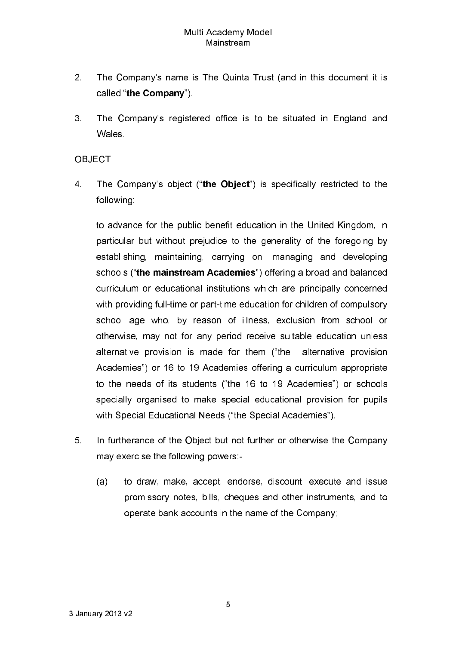- $2<sup>1</sup>$ The Company's name is The Quinta Trust (and in this document it is called "the Company").
- 3. The Company's registered office is to be situated in England and Wales

### **OBJECT**

 $\overline{4}$ The Company's object ("the Object") is specifically restricted to the following:

to advance for the public benefit education in the United Kingdom, in particular but without prejudice to the generality of the foregoing by establishing, maintaining, carrying on, managing and developing schools ("the mainstream Academies") offering a broad and balanced curriculum or educational institutions which are principally concerned with providing full-time or part-time education for children of compulsory school age who, by reason of illness, exclusion from school or otherwise, may not for any period receive suitable education unless alternative provision is made for them ("the alternative provision Academies") or 16 to 19 Academies offering a curriculum appropriate to the needs of its students ("the 16 to 19 Academies") or schools specially organised to make special educational provision for pupils with Special Educational Needs ("the Special Academies").

- 5 In furtherance of the Object but not further or otherwise the Company may exercise the following powers:
	- to draw, make, accept, endorse, discount, execute and issue  $(a)$ promissory notes, bills, cheques and other instruments, and to operate bank accounts in the name of the Company;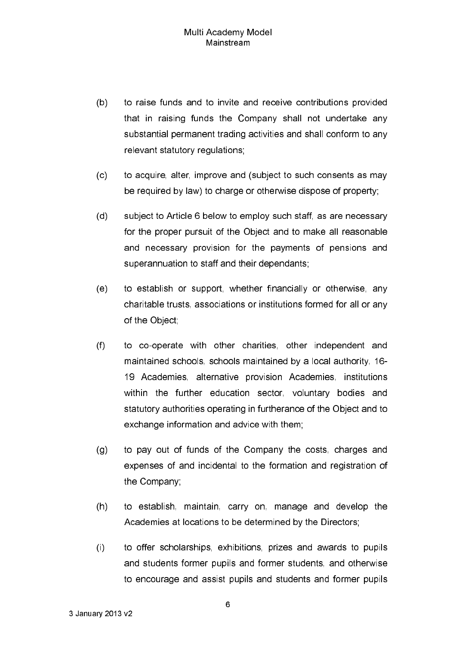- $(b)$ to raise funds and to invite and receive contributions provided that in raising funds the Company shall not undertake any substantial permanent trading activities and shall conform to any relevant statutory regulations.
- $(c)$ to acquire, alter, improve and (subject to such consents as may be required by law) to charge or otherwise dispose of property;
- $(d)$ subject to Article 6 below to employ such staff, as are necessary for the proper pursuit of the Object and to make all reasonable and necessary provision for the payments of pensions and superannuation to staff and their dependants;
- $(e)$ to establish or support, whether financially or otherwise, any charitable trusts, associations or institutions formed for all or any of the Object:
- $(f)$ to co-operate with other charities, other independent and maintained schools, schools maintained by a local authority, 16-19 Academies, alternative provision Academies, institutions within the further education sector, voluntary bodies and statutory authorities operating in furtherance of the Object and to exchange information and advice with them;
- to pay out of funds of the Company the costs, charges and  $(q)$ expenses of and incidental to the formation and registration of the Company.
- to establish, maintain, carry on, manage and develop the  $(h)$ Academies at locations to be determined by the Directors.
- to offer scholarships, exhibitions, prizes and awards to pupils  $(i)$ and students former pupils and former students, and otherwise to encourage and assist pupils and students and former pupils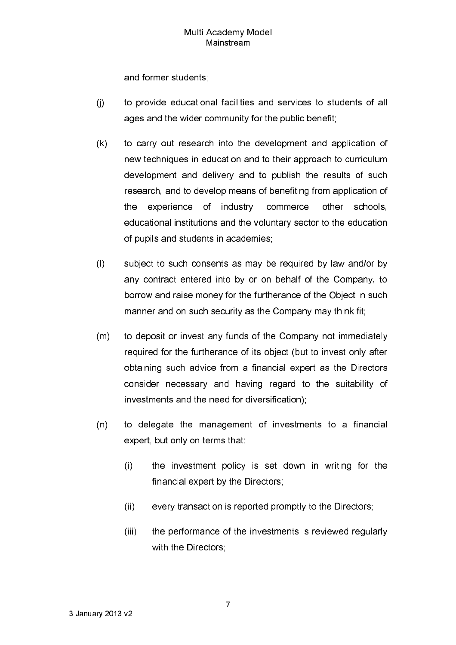and former students;

- $(i)$ to provide educational facilities and services to students of all ages and the wider community for the public benefit;
- $(k)$ to carry out research into the development and application of new techniques in education and to their approach to curriculum development and delivery and to publish the results of such research, and to develop means of benefiting from application of of industry commerce, the experience other schools. educational institutions and the voluntary sector to the education of pupils and students in academies.
- $(1)$ subject to such consents as may be required by law and/or by any contract entered into by or on behalf of the Company, to borrow and raise money for the furtherance of the Object in such manner and on such security as the Company may think fit:
- $(m)$ to deposit or invest any funds of the Company not immediately required for the furtherance of its object (but to invest only after obtaining such advice from a financial expert as the Directors consider necessary and having regard to the suitability of investments and the need for diversification);
- to delegate the management of investments to a financial  $(n)$ expert, but only on terms that:
	- the investment policy is set down in writing for the  $(i)$ financial expert by the Directors:
	- $(ii)$ every transaction is reported promptly to the Directors;
	- $(iii)$ the performance of the investments is reviewed regularly with the Directors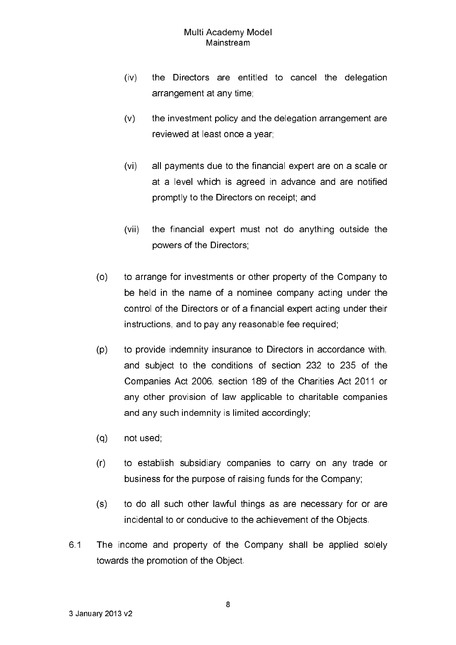- the Directors are entitled to cancel the delegation  $(iv)$ arrangement at any time,
- $(v)$ the investment policy and the delegation arrangement are reviewed at least once a year:
- $(v<sub>i</sub>)$ all payments due to the financial expert are on a scale or at a level which is agreed in advance and are notified promptly to the Directors on receipt, and
- the financial expert must not do anything outside the  $(vii)$ powers of the Directors:
- $(0)$ to arrange for investments or other property of the Company to be held in the name of a nominee company acting under the control of the Directors or of a financial expert acting under their instructions, and to pay any reasonable fee required;
- $(p)$ to provide indemnity insurance to Directors in accordance with, and subject to the conditions of section 232 to 235 of the Companies Act 2006, section 189 of the Charities Act 2011 or any other provision of law applicable to charitable companies and any such indemnity is limited accordingly;
- $(q)$ not used:
- $(r)$ to establish subsidiary companies to carry on any trade or business for the purpose of raising funds for the Company;
- to do all such other lawful things as are necessary for or are  $(s)$ incidental to or conducive to the achievement of the Objects.
- 6.1 The income and property of the Company shall be applied solely towards the promotion of the Object.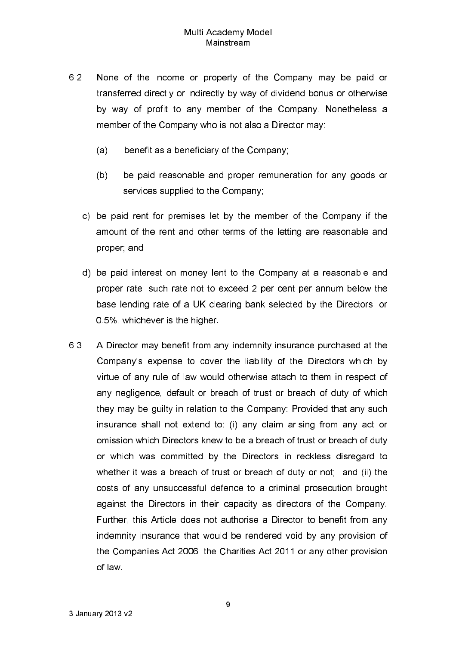- 6.2 None of the income or property of the Company may be paid or transferred directly or indirectly by way of dividend bonus or otherwise by way of profit to any member of the Company. Nonetheless a member of the Company who is not also a Director may:
	- benefit as a beneficiary of the Company;  $(a)$
	- $(b)$ be paid reasonable and proper remuneration for any goods or services supplied to the Company.
	- c) be paid rent for premises let by the member of the Company if the amount of the rent and other terms of the letting are reasonable and proper; and
	- d) be paid interest on money lent to the Company at a reasonable and proper rate, such rate not to exceed 2 per cent per annum below the base lending rate of a UK clearing bank selected by the Directors, or 0.5%, whichever is the higher.
- 6.3 A Director may benefit from any indemnity insurance purchased at the Company's expense to cover the liability of the Directors which by virtue of any rule of law would otherwise attach to them in respect of any negligence, default or breach of trust or breach of duty of which they may be quilty in relation to the Company: Provided that any such insurance shall not extend to: (i) any claim arising from any act or omission which Directors knew to be a breach of trust or breach of duty or which was committed by the Directors in reckless disregard to whether it was a breach of trust or breach of duty or not; and (ii) the costs of any unsuccessful defence to a criminal prosecution brought against the Directors in their capacity as directors of the Company. Further, this Article does not authorise a Director to benefit from any indemnity insurance that would be rendered void by any provision of the Companies Act 2006, the Charities Act 2011 or any other provision of law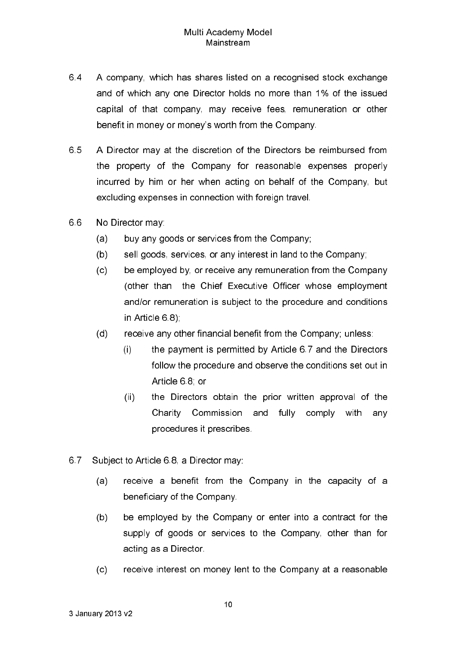- 6.4 A company, which has shares listed on a recognised stock exchange and of which any one Director holds no more than 1% of the issued capital of that company, may receive fees, remuneration or other benefit in money or money's worth from the Company.
- 65 A Director may at the discretion of the Directors be reimbursed from the property of the Company for reasonable expenses properly incurred by him or her when acting on behalf of the Company, but excluding expenses in connection with foreign travel.
- 66 No Director may
	- $(a)$ buy any goods or services from the Company;
	- $(b)$ sell goods, services, or any interest in land to the Company;
	- $(c)$ be employed by, or receive any remuneration from the Company (other than the Chief Executive Officer whose employment and/or remuneration is subject to the procedure and conditions in Article 6.8).
	- $(d)$ receive any other financial benefit from the Company; unless:
		- $(i)$ the payment is permitted by Article 6.7 and the Directors follow the procedure and observe the conditions set out in Article 68 or
		- $(ii)$ the Directors obtain the prior written approval of the Charity Commission and fully comply with anv procedures it prescribes.
- 67 Subject to Article 6.8, a Director may:
	- receive a benefit from the Company in the capacity of a  $(a)$ beneficiary of the Company.
	- $(b)$ be employed by the Company or enter into a contract for the supply of goods or services to the Company, other than for acting as a Director.
	- receive interest on money lent to the Company at a reasonable  $(c)$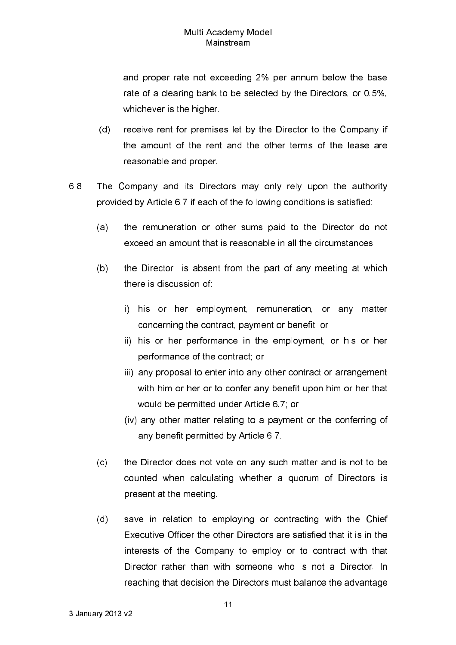and proper rate not exceeding 2% per annum below the base rate of a clearing bank to be selected by the Directors, or 0.5%, whichever is the higher.

- $(d)$ receive rent for premises let by the Director to the Company if the amount of the rent and the other terms of the lease are reasonable and proper.
- 68 The Company and its Directors may only rely upon the authority provided by Article 6.7 if each of the following conditions is satisfied:
	- $(a)$ the remuneration or other sums paid to the Director do not exceed an amount that is reasonable in all the circumstances.
	- $(b)$ the Director is absent from the part of any meeting at which there is discussion of
		- i) his or her employment, remuneration, or any matter concerning the contract, payment or benefit; or
		- ii) his or her performance in the employment, or his or her performance of the contract; or
		- iii) any proposal to enter into any other contract or arrangement with him or her or to confer any benefit upon him or her that would be permitted under Article 6.7, or
		- (iv) any other matter relating to a payment or the conferring of any benefit permitted by Article 6.7.
	- the Director does not vote on any such matter and is not to be  $(c)$ counted when calculating whether a quorum of Directors is present at the meeting.
	- save in relation to employing or contracting with the Chief  $(d)$ Executive Officer the other Directors are satisfied that it is in the interests of the Company to employ or to contract with that Director rather than with someone who is not a Director In reaching that decision the Directors must balance the advantage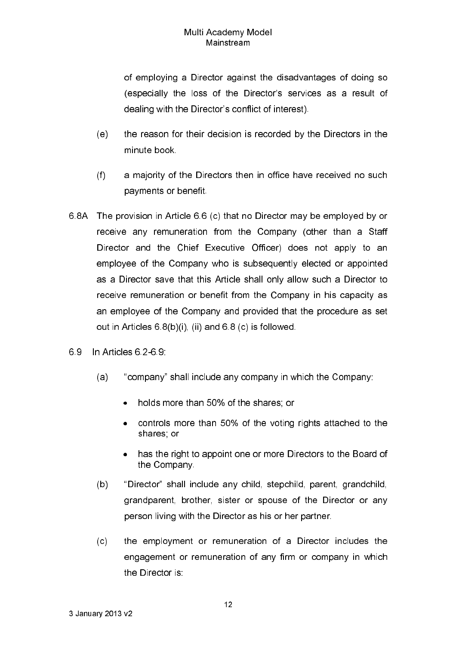of employing a Director against the disadvantages of doing so (especially the loss of the Director's services as a result of dealing with the Director's conflict of interest).

- $(e)$ the reason for their decision is recorded by the Directors in the minute book.
- $(f)$ a majority of the Directors then in office have received no such payments or benefit.
- 6.8A The provision in Article 6.6 (c) that no Director may be employed by or receive any remuneration from the Company (other than a Staff Director and the Chief Executive Officer) does not apply to an employee of the Company who is subsequently elected or appointed as a Director save that this Article shall only allow such a Director to receive remuneration or benefit from the Company in his capacity as an employee of the Company and provided that the procedure as set out in Articles 6.8(b)(i), (ii) and 6.8 (c) is followed.
- 69 In Articles 6.2-6.9.
	- "company" shall include any company in which the Company:  $(a)$ 
		- holds more than 50% of the shares: or  $\bullet$
		- controls more than 50% of the voting rights attached to the shares or
		- has the right to appoint one or more Directors to the Board of the Company.
	- $(b)$ "Director" shall include any child, stepchild, parent, grandchild, grandparent, brother, sister or spouse of the Director or any person living with the Director as his or her partner.
	- $(c)$ the employment or remuneration of a Director includes the engagement or remuneration of any firm or company in which the Director is: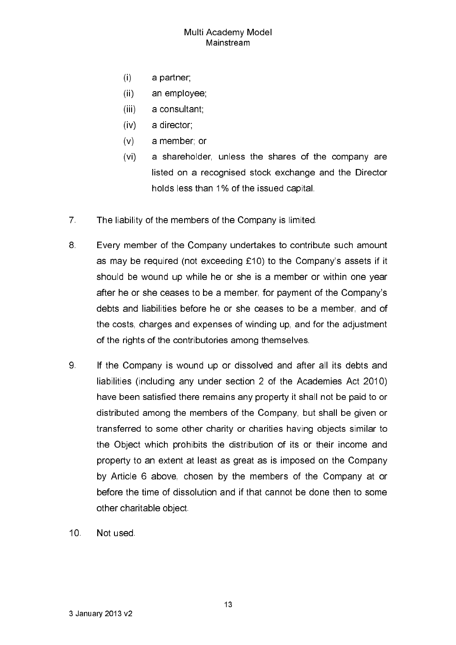- $(i)$ a partner;
- $(ii)$ an employee.
- $(iii)$ a consultant;
- $(iv)$ a director
- $(v)$ a member; or
- $(v<sub>i</sub>)$ a shareholder, unless the shares of the company are listed on a recognised stock exchange and the Director holds less than 1% of the issued capital.
- $7<sub>1</sub>$ The liability of the members of the Company is limited.
- 8. Every member of the Company undertakes to contribute such amount as may be required (not exceeding £10) to the Company's assets if it should be wound up while he or she is a member or within one year after he or she ceases to be a member, for payment of the Company's debts and liabilities before he or she ceases to be a member, and of the costs, charges and expenses of winding up, and for the adjustment of the rights of the contributories among themselves.
- 9 If the Company is wound up or dissolved and after all its debts and liabilities (including any under section 2 of the Academies Act 2010) have been satisfied there remains any property it shall not be paid to or distributed among the members of the Company, but shall be given or transferred to some other charity or charities having objects similar to the Object which prohibits the distribution of its or their income and property to an extent at least as great as is imposed on the Company by Article 6 above, chosen by the members of the Company at or before the time of dissolution and if that cannot be done then to some other charitable object.
- $10<sup>1</sup>$ Not used.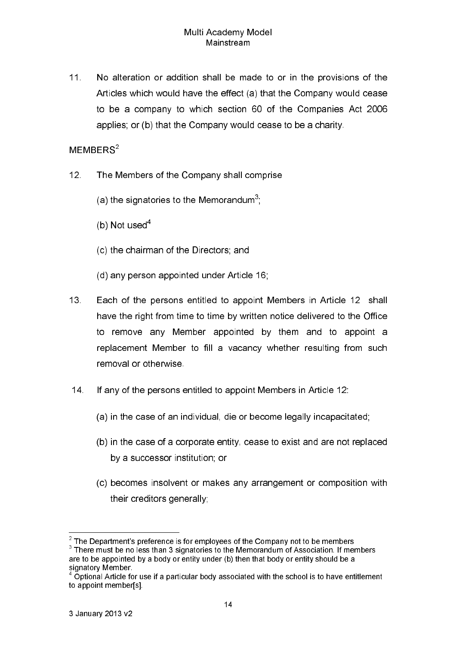$11<sub>1</sub>$ No alteration or addition shall be made to or in the provisions of the Articles which would have the effect (a) that the Company would cease to be a company to which section 60 of the Companies Act 2006 applies; or (b) that the Company would cease to be a charity.

# $MEMBERS<sup>2</sup>$

- $12<sup>7</sup>$ The Members of the Company shall comprise
	- (a) the signatories to the Memorandum<sup>3</sup>.
	- (b) Not used<sup>4</sup>
	- (c) the chairman of the Directors; and
	- (d) any person appointed under Article 16;
- $13<sub>1</sub>$ Each of the persons entitled to appoint Members in Article 12 shall have the right from time to time by written notice delivered to the Office to remove any Member appointed by them and to appoint a replacement Member to fill a vacancy whether resulting from such removal or otherwise
- $14$ If any of the persons entitled to appoint Members in Article 12.
	- (a) in the case of an individual, die or become legally incapacitated;
	- (b) in the case of a corporate entity, cease to exist and are not replaced by a successor institution; or
	- (c) becomes insolvent or makes any arrangement or composition with their creditors generally;

 $2$  The Department's preference is for employees of the Company not to be members  $3$  There must be no less than 3 signatories to the Memorandum of Association. If members

are to be appointed by a body or entity under (b) then that body or entity should be a signatory Member.<br><sup>4</sup> Optional Article for use if a particular body associated with the school is to have entitlement

to appoint member[s].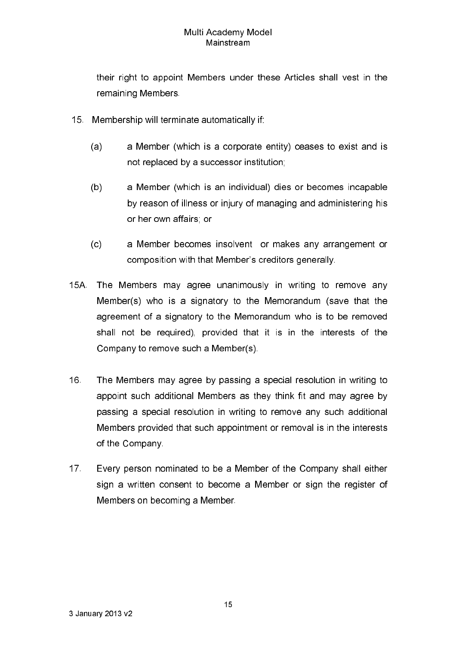their right to appoint Members under these Articles shall vest in the remaining Members

- 15. Membership will terminate automatically if:
	- $(a)$ a Member (which is a corporate entity) ceases to exist and is not replaced by a successor institution;
	- $(b)$ a Member (which is an individual) dies or becomes incapable by reason of illness or injury of managing and administering his or her own affairs; or
	- $(c)$ a Member becomes insolvent or makes any arrangement or composition with that Member's creditors generally.
- 15A. The Members may agree unanimously in writing to remove any Member(s) who is a signatory to the Memorandum (save that the agreement of a signatory to the Memorandum who is to be removed shall not be required), provided that it is in the interests of the Company to remove such a Member(s).
- $16<sub>1</sub>$ The Members may agree by passing a special resolution in writing to appoint such additional Members as they think fit and may agree by passing a special resolution in writing to remove any such additional Members provided that such appointment or removal is in the interests of the Company.
- $17<sup>2</sup>$ Every person nominated to be a Member of the Company shall either sign a written consent to become a Member or sign the register of Members on becoming a Member.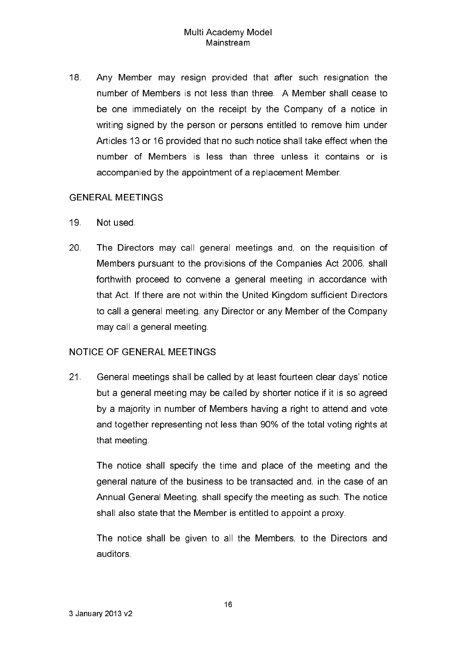18. Any Member may resign provided that after such resignation the number of Members is not less than three. A Member shall cease to be one immediately on the receipt by the Company of a notice in writing signed by the person or persons entitled to remove him under Articles 13 or 16 provided that no such notice shall take effect when the number of Members is less than three unless it contains or is accompanied by the appointment of a replacement Member.

## **GENERAL MEETINGS**

- 19 Not used.
- 20 The Directors may call general meetings and, on the requisition of Members pursuant to the provisions of the Companies Act 2006, shall forthwith proceed to convene a general meeting in accordance with that Act. If there are not within the United Kingdom sufficient Directors to call a general meeting, any Director or any Member of the Company may call a general meeting

## **NOTICE OF GENERAL MEETINGS**

 $21<sub>1</sub>$ General meetings shall be called by at least fourteen clear days' notice but a general meeting may be called by shorter notice if it is so agreed by a majority in number of Members having a right to attend and vote and together representing not less than 90% of the total voting rights at that meeting

The notice shall specify the time and place of the meeting and the general nature of the business to be transacted and, in the case of an Annual General Meeting, shall specify the meeting as such. The notice shall also state that the Member is entitled to appoint a proxy.

The notice shall be given to all the Members, to the Directors and auditors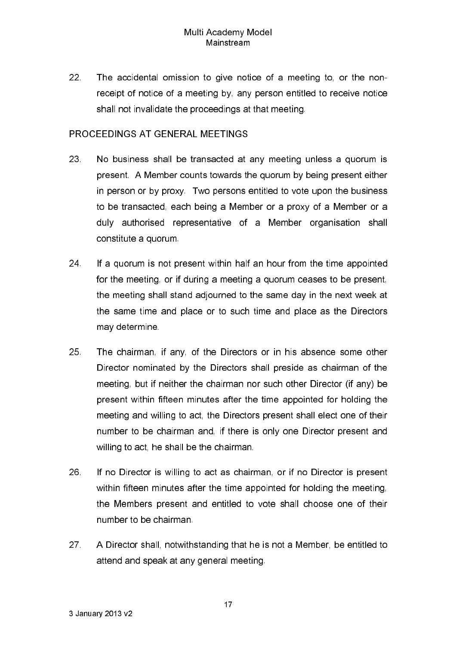22 The accidental omission to give notice of a meeting to, or the nonreceipt of notice of a meeting by, any person entitled to receive notice shall not invalidate the proceedings at that meeting.

# PROCEEDINGS AT GENERAL MEETINGS

- 23 No business shall be transacted at any meeting unless a quorum is present. A Member counts towards the quorum by being present either in person or by proxy. Two persons entitled to vote upon the business to be transacted, each being a Member or a proxy of a Member or a duly authorised representative of a Member organisation shall constitute a quorum.
- 24 If a quorum is not present within half an hour from the time appointed for the meeting, or if during a meeting a quorum ceases to be present, the meeting shall stand adjourned to the same day in the next week at the same time and place or to such time and place as the Directors may determine
- 25 The chairman, if any, of the Directors or in his absence some other Director nominated by the Directors shall preside as chairman of the meeting, but if neither the chairman nor such other Director (if any) be present within fifteen minutes after the time appointed for holding the meeting and willing to act, the Directors present shall elect one of their number to be chairman and, if there is only one Director present and willing to act, he shall be the chairman.
- 26 If no Director is willing to act as chairman, or if no Director is present within fifteen minutes after the time appointed for holding the meeting. the Members present and entitled to vote shall choose one of their number to be chairman
- $27<sub>1</sub>$ A Director shall, notwithstanding that he is not a Member, be entitled to attend and speak at any general meeting.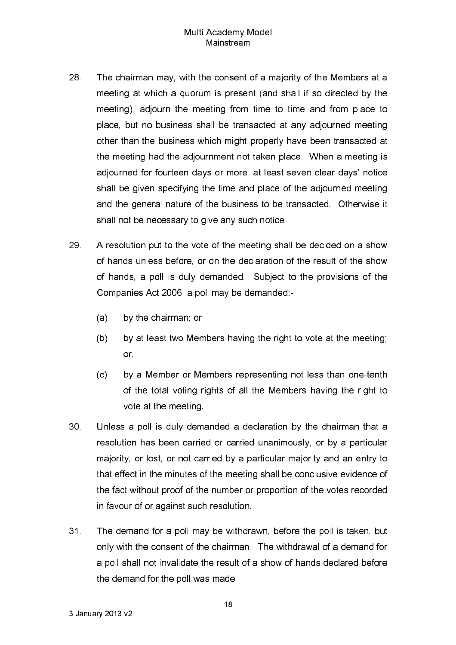- 28 The chairman may, with the consent of a majority of the Members at a meeting at which a quorum is present (and shall if so directed by the meeting), adjourn the meeting from time to time and from place to place, but no business shall be transacted at any adjourned meeting other than the business which might properly have been transacted at the meeting had the adjournment not taken place. When a meeting is adjourned for fourteen days or more, at least seven clear days' notice shall be given specifying the time and place of the adjourned meeting and the general nature of the business to be transacted. Otherwise it shall not be necessary to give any such notice.
- 29. A resolution put to the vote of the meeting shall be decided on a show of hands unless before, or on the declaration of the result of the show of hands, a poll is duly demanded. Subject to the provisions of the Companies Act 2006, a poll may be demanded:-
	- $(a)$ by the chairman, or
	- $(b)$ by at least two Members having the right to vote at the meeting; or,
	- $(c)$ by a Member or Members representing not less than one-tenth of the total voting rights of all the Members having the right to vote at the meeting.
- $30<sub>1</sub>$ Unless a poll is duly demanded a declaration by the chairman that a resolution has been carried or carried unanimously, or by a particular maiority, or lost, or not carried by a particular maiority and an entry to that effect in the minutes of the meeting shall be conclusive evidence of the fact without proof of the number or proportion of the votes recorded in favour of or against such resolution.
- $31<sup>2</sup>$ The demand for a poll may be withdrawn, before the poll is taken, but only with the consent of the chairman. The withdrawal of a demand for a poll shall not invalidate the result of a show of hands declared before the demand for the poll was made.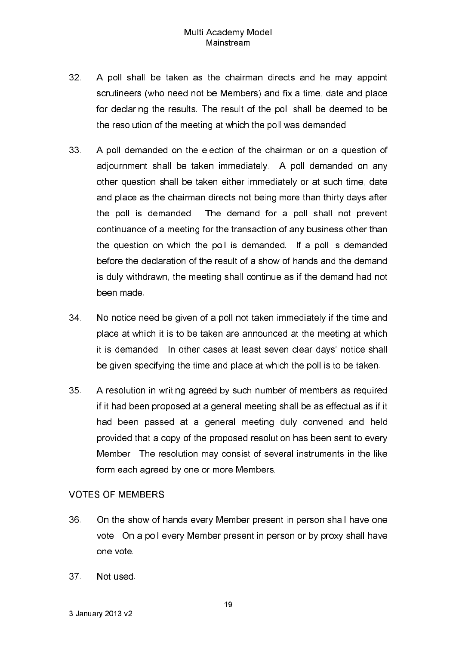- $32<sup>2</sup>$ A poll shall be taken as the chairman directs and he may appoint scrutineers (who need not be Members) and fix a time, date and place for declaring the results. The result of the poll shall be deemed to be the resolution of the meeting at which the poll was demanded.
- 33 A poll demanded on the election of the chairman or on a question of adjournment shall be taken immediately. A poll demanded on any other question shall be taken either immediately or at such time, date and place as the chairman directs not being more than thirty days after the poll is demanded. The demand for a poll shall not prevent continuance of a meeting for the transaction of any business other than the question on which the poll is demanded. If a poll is demanded before the declaration of the result of a show of hands and the demand is duly withdrawn, the meeting shall continue as if the demand had not been made
- 34 No notice need be given of a poll not taken immediately if the time and place at which it is to be taken are announced at the meeting at which it is demanded. In other cases at least seven clear days' notice shall be given specifying the time and place at which the poll is to be taken.
- 35 A resolution in writing agreed by such number of members as required if it had been proposed at a general meeting shall be as effectual as if it had been passed at a general meeting duly convened and held provided that a copy of the proposed resolution has been sent to every Member. The resolution may consist of several instruments in the like form each agreed by one or more Members.

## **VOTES OF MEMBERS**

- 36 On the show of hands every Member present in person shall have one vote. On a poll every Member present in person or by proxy shall have one vote
- $37<sup>7</sup>$ Not used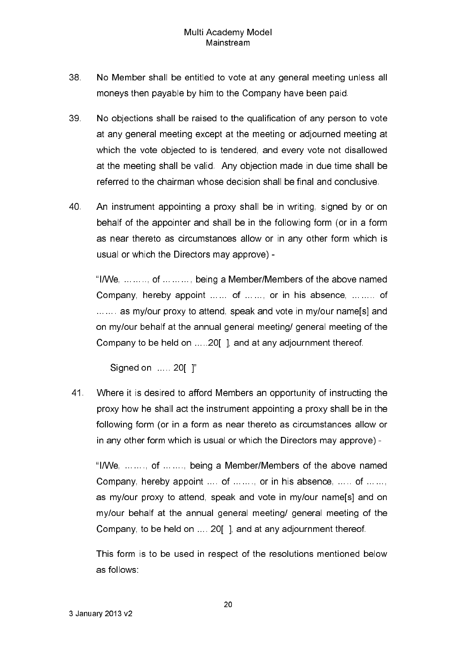- 38 No Member shall be entitled to vote at any general meeting unless all moneys then payable by him to the Company have been paid.
- 39 No objections shall be raised to the qualification of any person to vote at any general meeting except at the meeting or adjourned meeting at which the vote objected to is tendered, and every vote not disallowed at the meeting shall be valid. Any objection made in due time shall be referred to the chairman whose decision shall be final and conclusive.
- 40 An instrument appointing a proxy shall be in writing, signed by or on behalf of the appointer and shall be in the following form (or in a form as near thereto as circumstances allow or in any other form which is usual or which the Directors may approve) -

"I/We, ... ... .., of ... ... ..., being a Member/Members of the above named Company, hereby appoint ...... of ......, or in his absence, ........ of ...... as my/our proxy to attend, speak and vote in my/our name[s] and on my/our behalf at the annual general meeting/ general meeting of the Company to be held on .....20 | , and at any adjournment thereof.

Signed on ..... 20[ ]"

41 Where it is desired to afford Members an opportunity of instructing the proxy how he shall act the instrument appointing a proxy shall be in the following form (or in a form as near thereto as circumstances allow or in any other form which is usual or which the Directors may approve) -

"I/We, ......., of ......., being a Member/Members of the above named Company, hereby appoint ... of ......, or in his absence, ..... of ...... as my/our proxy to attend, speak and vote in my/our name[s] and on my/our behalf at the annual general meeting/ general meeting of the Company, to be held on ..., 20 1, and at any adiournment thereof.

This form is to be used in respect of the resolutions mentioned below as follows: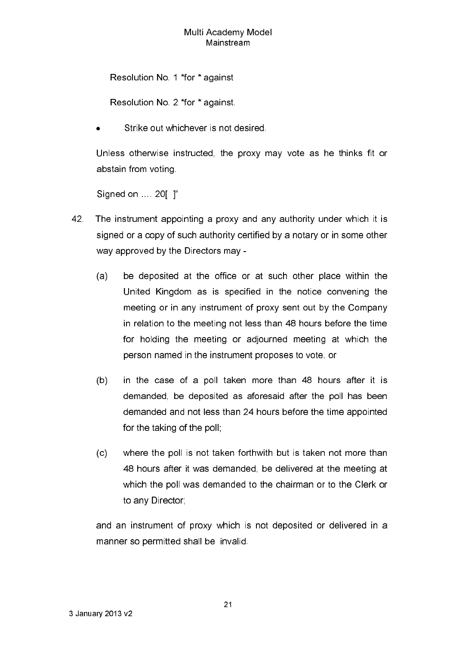Resolution No. 1 \*for \* against

Resolution No. 2 \*for \* against.

Strike out whichever is not desired.

Unless otherwise instructed, the proxy may vote as he thinks fit or abstain from voting

Signed on ... 20 | "

- 42. The instrument appointing a proxy and any authority under which it is signed or a copy of such authority certified by a notary or in some other way approved by the Directors may -
	- $(a)$ be deposited at the office or at such other place within the United Kingdom as is specified in the notice convening the meeting or in any instrument of proxy sent out by the Company in relation to the meeting not less than 48 hours before the time for holding the meeting or adjourned meeting at which the person named in the instrument proposes to vote, or
	- $(b)$ in the case of a poll taken more than 48 hours after it is demanded, be deposited as aforesaid after the poll has been demanded and not less than 24 hours before the time appointed for the taking of the poll;
	- $(c)$ where the poll is not taken forthwith but is taken not more than 48 hours after it was demanded, be delivered at the meeting at which the poll was demanded to the chairman or to the Clerk or to any Director

and an instrument of proxy which is not deposited or delivered in a manner so permitted shall be invalid.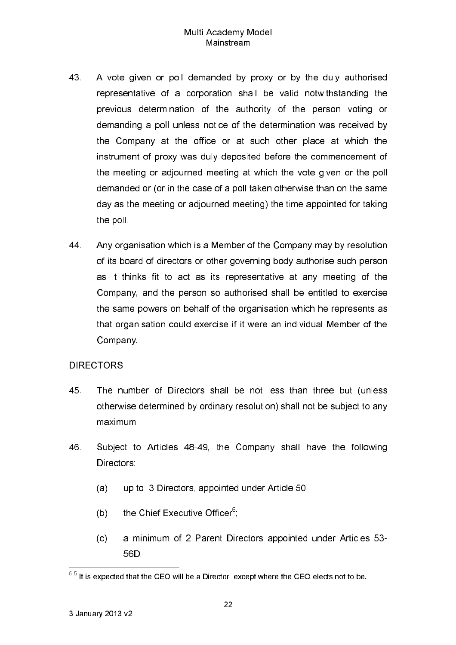- 43 A vote given or poll demanded by proxy or by the duly authorised representative of a corporation shall be valid notwithstanding the previous determination of the authority of the person voting or demanding a poll unless notice of the determination was received by the Company at the office or at such other place at which the instrument of proxy was duly deposited before the commencement of the meeting or adjourned meeting at which the vote given or the poll demanded or (or in the case of a poll taken otherwise than on the same day as the meeting or adjourned meeting) the time appointed for taking the poll.
- 44. Any organisation which is a Member of the Company may by resolution of its board of directors or other governing body authorise such person as it thinks fit to act as its representative at any meeting of the Company, and the person so authorised shall be entitled to exercise the same powers on behalf of the organisation which he represents as that organisation could exercise if it were an individual Member of the Company.

## **DIRECTORS**

- 45 The number of Directors shall be not less than three but (unless otherwise determined by ordinary resolution) shall not be subject to any maximum
- 46 Subject to Articles 48-49, the Company shall have the following Directors:
	- $(a)$ up to 3 Directors, appointed under Article 50;
	- the Chief Executive Officer<sup>5</sup>:  $(b)$
	- a minimum of 2 Parent Directors appointed under Articles 53- $(c)$ 56D.

 $55$  It is expected that the CEO will be a Director, except where the CEO elects not to be.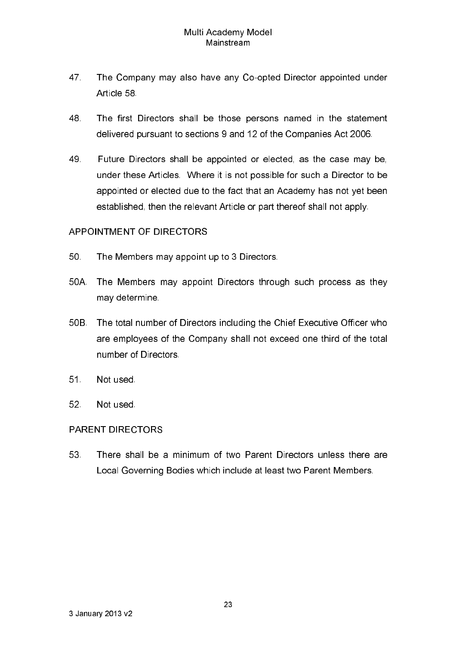- 47 The Company may also have any Co-opted Director appointed under Article 58
- 48 The first Directors shall be those persons named in the statement delivered pursuant to sections 9 and 12 of the Companies Act 2006.
- 49 Future Directors shall be appointed or elected, as the case may be, under these Articles. Where it is not possible for such a Director to be appointed or elected due to the fact that an Academy has not yet been established, then the relevant Article or part thereof shall not apply.

# APPOINTMENT OF DIRECTORS

- 50 The Members may appoint up to 3 Directors.
- 50A. The Members may appoint Directors through such process as they may determine
- 50B. The total number of Directors including the Chief Executive Officer who are employees of the Company shall not exceed one third of the total number of Directors
- $51<sub>1</sub>$ Not used.
- $52<sub>2</sub>$ Not used.

## **PARENT DIRECTORS**

53 There shall be a minimum of two Parent Directors unless there are Local Governing Bodies which include at least two Parent Members.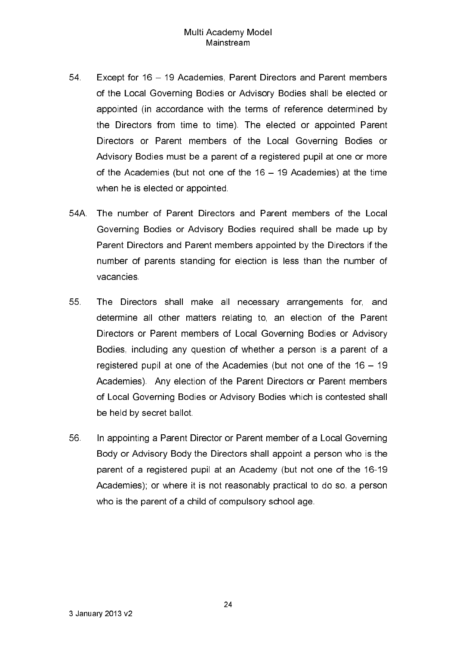- 54 Except for 16 - 19 Academies, Parent Directors and Parent members of the Local Governing Bodies or Advisory Bodies shall be elected or appointed (in accordance with the terms of reference determined by the Directors from time to time). The elected or appointed Parent Directors or Parent members of the Local Governing Bodies or Advisory Bodies must be a parent of a registered pupil at one or more of the Academies (but not one of the 16 - 19 Academies) at the time when he is elected or appointed.
- 54A. The number of Parent Directors and Parent members of the Local Governing Bodies or Advisory Bodies required shall be made up by Parent Directors and Parent members appointed by the Directors if the number of parents standing for election is less than the number of vacancies
- 55 The Directors shall make all necessary arrangements for, and determine all other matters relating to, an election of the Parent Directors or Parent members of Local Governing Bodies or Advisory Bodies, including any question of whether a person is a parent of a registered pupil at one of the Academies (but not one of the 16 - 19 Academies). Any election of the Parent Directors or Parent members of Local Governing Bodies or Advisory Bodies which is contested shall be held by secret ballot.
- 56 In appointing a Parent Director or Parent member of a Local Governing Body or Advisory Body the Directors shall appoint a person who is the parent of a registered pupil at an Academy (but not one of the 16-19 Academies); or where it is not reasonably practical to do so, a person who is the parent of a child of compulsory school age.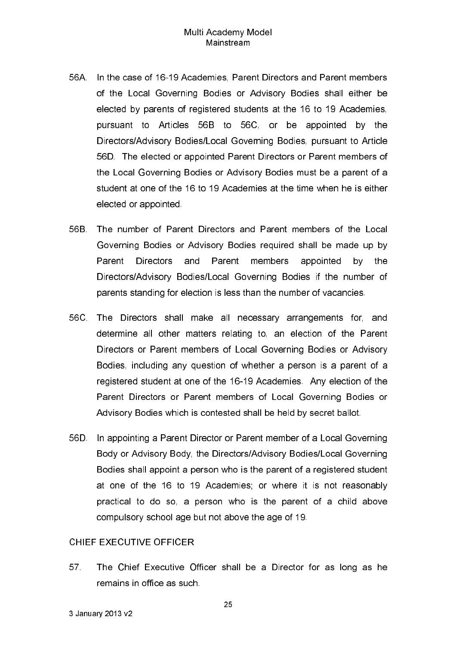- 56A. In the case of 16-19 Academies, Parent Directors and Parent members of the Local Governing Bodies or Advisory Bodies shall either be elected by parents of registered students at the 16 to 19 Academies, pursuant to Articles 56B to 56C, or be appointed by the Directors/Advisory Bodies/Local Governing Bodies, pursuant to Article 56D. The elected or appointed Parent Directors or Parent members of the Local Governing Bodies or Advisory Bodies must be a parent of a student at one of the 16 to 19 Academies at the time when he is either elected or appointed.
- 56B. The number of Parent Directors and Parent members of the Local Governing Bodies or Advisory Bodies required shall be made up by Parent **Directors** and Parent members appointed by the Directors/Advisory Bodies/Local Governing Bodies if the number of parents standing for election is less than the number of vacancies.
- 56C. The Directors shall make all necessary arrangements for, and determine all other matters relating to, an election of the Parent Directors or Parent members of Local Governing Bodies or Advisory Bodies, including any question of whether a person is a parent of a registered student at one of the 16-19 Academies. Any election of the Parent Directors or Parent members of Local Governing Bodies or Advisory Bodies which is contested shall be held by secret ballot.
- 56D. In appointing a Parent Director or Parent member of a Local Governing Body or Advisory Body, the Directors/Advisory Bodies/Local Governing Bodies shall appoint a person who is the parent of a registered student at one of the 16 to 19 Academies; or where it is not reasonably practical to do so, a person who is the parent of a child above compulsory school age but not above the age of 19.

#### CHIFF EXECUTIVE OFFICER

57 The Chief Executive Officer shall be a Director for as long as he remains in office as such.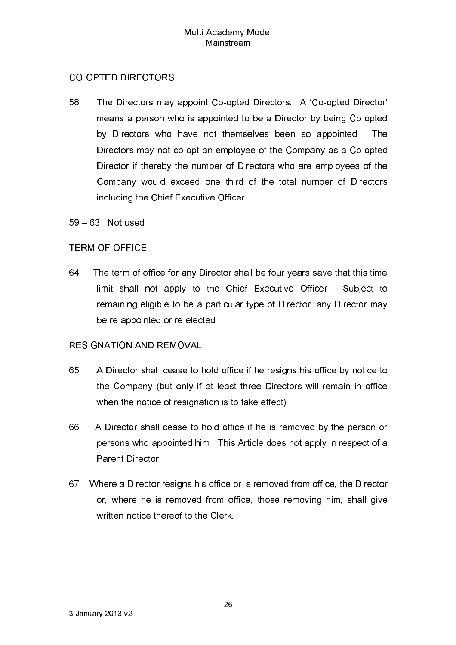# **CO-OPTED DIRECTORS**

58 The Directors may appoint Co-opted Directors. A 'Co-opted Director' means a person who is appointed to be a Director by being Co-opted by Directors who have not themselves been so appointed. **The** Directors may not co-opt an employee of the Company as a Co-opted Director if thereby the number of Directors who are employees of the Company would exceed one third of the total number of Directors including the Chief Executive Officer.

59 - 63 Not used

# **TERM OF OFFICE**

64. The term of office for any Director shall be four years save that this time limit shall not apply to the Chief Executive Officer. Subject to remaining eligible to be a particular type of Director, any Director may be re-appointed or re-elected.

## **RESIGNATION AND REMOVAL**

- 65 A Director shall cease to hold office if he resigns his office by notice to the Company (but only if at least three Directors will remain in office when the notice of resignation is to take effect).
- 66. A Director shall cease to hold office if he is removed by the person or persons who appointed him. This Article does not apply in respect of a **Parent Director**
- 67 Where a Director resigns his office or is removed from office, the Director or, where he is removed from office, those removing him, shall give written notice thereof to the Clerk.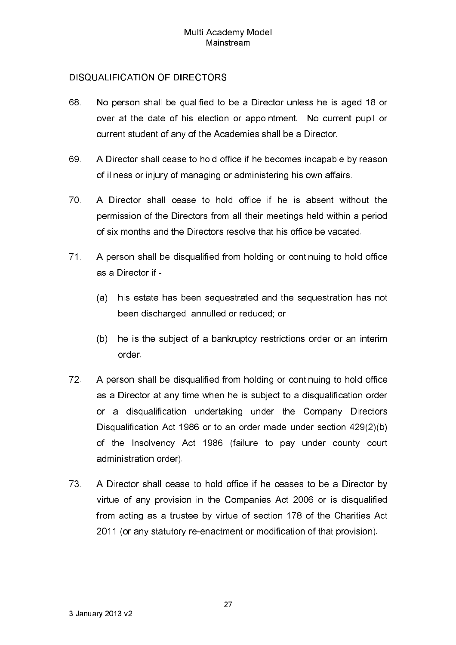# **DISQUALIFICATION OF DIRECTORS**

- 68 No person shall be qualified to be a Director unless he is aged 18 or over at the date of his election or appointment. No current pupil or current student of any of the Academies shall be a Director.
- 69 A Director shall cease to hold office if he becomes incapable by reason of illness or injury of managing or administering his own affairs.
- 70 A Director shall cease to hold office if he is absent without the permission of the Directors from all their meetings held within a period of six months and the Directors resolve that his office be vacated.
- $71.$ A person shall be disqualified from holding or continuing to hold office as a Director if
	- his estate has been sequestrated and the sequestration has not  $(a)$ been discharged, annulled or reduced; or
	- he is the subject of a bankruptcy restrictions order or an interim  $(b)$ order.
- $72<sub>1</sub>$ A person shall be disqualified from holding or continuing to hold office as a Director at any time when he is subject to a disqualification order or a disqualification undertaking under the Company Directors Disqualification Act 1986 or to an order made under section 429(2)(b) of the Insolvency Act 1986 (failure to pay under county court administration order).
- 73 A Director shall cease to hold office if he ceases to be a Director by virtue of any provision in the Companies Act 2006 or is disqualified from acting as a trustee by virtue of section 178 of the Charities Act 2011 (or any statutory re-enactment or modification of that provision).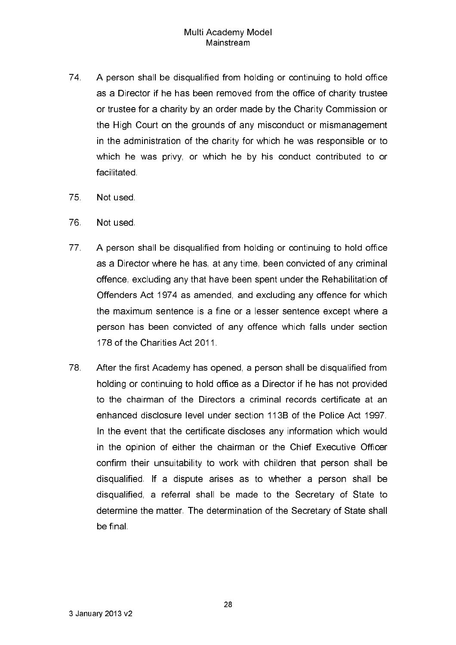- 74. A person shall be disqualified from holding or continuing to hold office as a Director if he has been removed from the office of charity trustee or trustee for a charity by an order made by the Charity Commission or the High Court on the grounds of any misconduct or mismanagement in the administration of the charity for which he was responsible or to which he was privy, or which he by his conduct contributed to or facilitated
- 75 Not used
- 76 Not used.
- 77 A person shall be disqualified from holding or continuing to hold office as a Director where he has, at any time, been convicted of any criminal offence, excluding any that have been spent under the Rehabilitation of Offenders Act 1974 as amended, and excluding any offence for which the maximum sentence is a fine or a lesser sentence except where a person has been convicted of any offence which falls under section 178 of the Charities Act 2011.
- 78 After the first Academy has opened, a person shall be disqualified from holding or continuing to hold office as a Director if he has not provided to the chairman of the Directors a criminal records certificate at an enhanced disclosure level under section 113B of the Police Act 1997. In the event that the certificate discloses any information which would in the opinion of either the chairman or the Chief Executive Officer confirm their unsuitability to work with children that person shall be disqualified. If a dispute arises as to whether a person shall be disqualified, a referral shall be made to the Secretary of State to determine the matter. The determination of the Secretary of State shall be final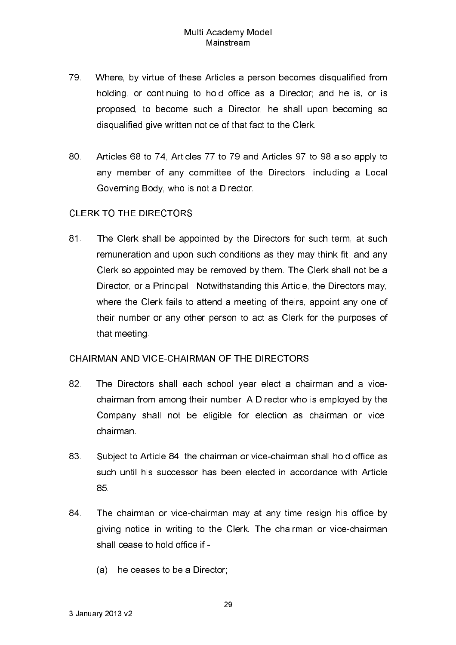- 79. Where, by virtue of these Articles a person becomes disqualified from holding, or continuing to hold office as a Director; and he is, or is proposed, to become such a Director, he shall upon becoming so disqualified give written notice of that fact to the Clerk.
- 80. Articles 68 to 74. Articles 77 to 79 and Articles 97 to 98 also apply to any member of any committee of the Directors, including a Local Governing Body, who is not a Director.

# **CLERK TO THE DIRECTORS**

81 The Clerk shall be appointed by the Directors for such term, at such remuneration and upon such conditions as they may think fit; and any Clerk so appointed may be removed by them. The Clerk shall not be a Director, or a Principal. Notwithstanding this Article, the Directors may. where the Clerk fails to attend a meeting of theirs, appoint any one of their number or any other person to act as Clerk for the purposes of that meeting

## CHAIRMAN AND VICE-CHAIRMAN OF THE DIRECTORS

- 82 The Directors shall each school year elect a chairman and a vicechairman from among their number. A Director who is employed by the Company shall not be eligible for election as chairman or vicechairman
- 83 Subject to Article 84, the chairman or vice-chairman shall hold office as such until his successor has been elected in accordance with Article 85.
- 84 The chairman or vice-chairman may at any time resign his office by giving notice in writing to the Clerk. The chairman or vice-chairman shall cease to hold office if -
	- (a) he ceases to be a Director: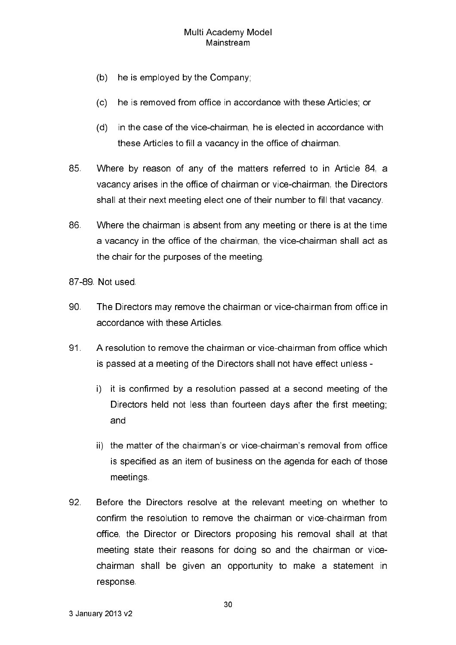- $(b)$ he is employed by the Company;
- $(c)$ he is removed from office in accordance with these Articles; or
- (d) in the case of the vice-chairman, he is elected in accordance with these Articles to fill a vacancy in the office of chairman.
- 85 Where by reason of any of the matters referred to in Article 84, a vacancy arises in the office of chairman or vice-chairman, the Directors shall at their next meeting elect one of their number to fill that vacancy.
- 86. Where the chairman is absent from any meeting or there is at the time a vacancy in the office of the chairman, the vice-chairman shall act as the chair for the purposes of the meeting.
- 87-89 Not used
- 90 The Directors may remove the chairman or vice-chairman from office in accordance with these Articles
- 91. A resolution to remove the chairman or vice-chairman from office which is passed at a meeting of the Directors shall not have effect unless
	- i) it is confirmed by a resolution passed at a second meeting of the Directors held not less than fourteen days after the first meeting; and
	- ii) the matter of the chairman's or vice-chairman's removal from office is specified as an item of business on the agenda for each of those meetings
- 92 Before the Directors resolve at the relevant meeting on whether to confirm the resolution to remove the chairman or vice-chairman from office, the Director or Directors proposing his removal shall at that meeting state their reasons for doing so and the chairman or vicechairman shall be given an opportunity to make a statement in response.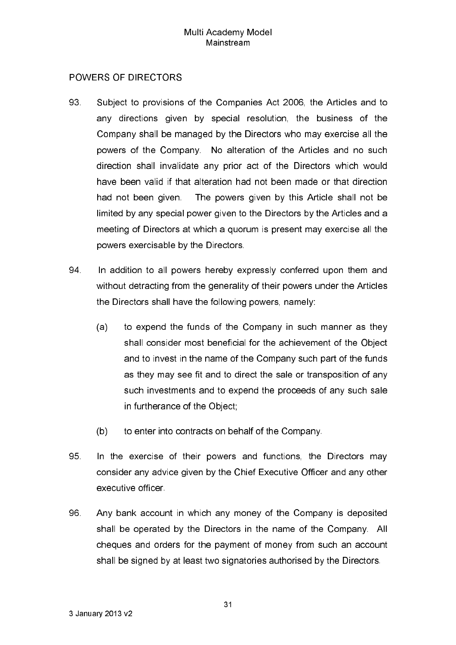# **POWERS OF DIRECTORS**

- 93 Subject to provisions of the Companies Act 2006, the Articles and to any directions given by special resolution, the business of the Company shall be managed by the Directors who may exercise all the powers of the Company. No alteration of the Articles and no such direction shall invalidate any prior act of the Directors which would have been valid if that alteration had not been made or that direction had not been given. The powers given by this Article shall not be limited by any special power given to the Directors by the Articles and a meeting of Directors at which a quorum is present may exercise all the powers exercisable by the Directors.
- 94 In addition to all powers hereby expressly conferred upon them and without detracting from the generality of their powers under the Articles the Directors shall have the following powers, namely:
	- to expend the funds of the Company in such manner as they  $(a)$ shall consider most beneficial for the achievement of the Object and to invest in the name of the Company such part of the funds as they may see fit and to direct the sale or transposition of any such investments and to expend the proceeds of any such sale in furtherance of the Object;
	- $(b)$ to enter into contracts on behalf of the Company.
- 95 In the exercise of their powers and functions, the Directors may consider any advice given by the Chief Executive Officer and any other executive officer
- 96 Any bank account in which any money of the Company is deposited shall be operated by the Directors in the name of the Company. All cheques and orders for the payment of money from such an account shall be signed by at least two signatories authorised by the Directors.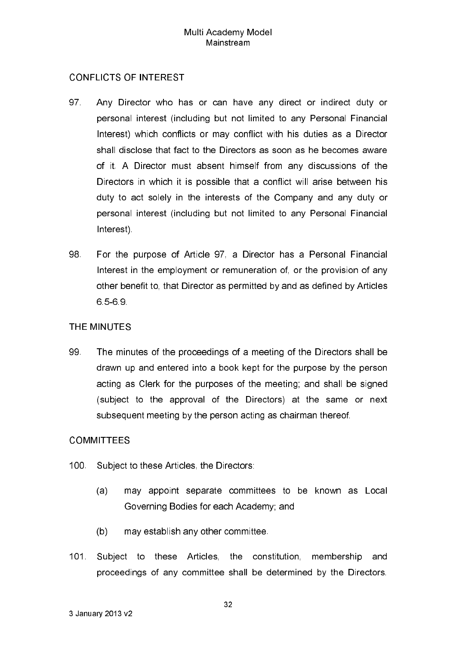## **CONFLICTS OF INTEREST**

- 97 Any Director who has or can have any direct or indirect duty or personal interest (including but not limited to any Personal Financial Interest) which conflicts or may conflict with his duties as a Director shall disclose that fact to the Directors as soon as he becomes aware of it. A Director must absent himself from any discussions of the Directors in which it is possible that a conflict will arise between his duty to act solely in the interests of the Company and any duty or personal interest (including but not limited to any Personal Financial Interest)
- 98 For the purpose of Article 97, a Director has a Personal Financial Interest in the employment or remuneration of, or the provision of any other benefit to, that Director as permitted by and as defined by Articles 6569

# THE MINUTES

99 The minutes of the proceedings of a meeting of the Directors shall be drawn up and entered into a book kept for the purpose by the person acting as Clerk for the purposes of the meeting; and shall be signed (subject to the approval of the Directors) at the same or next subsequent meeting by the person acting as chairman thereof.

## **COMMITTEES**

- $100<sub>1</sub>$ Subject to these Articles, the Directors:
	- $(a)$ may appoint separate committees to be known as Local Governing Bodies for each Academy; and
	- $(b)$ may establish any other committee.
- $101$ Subject to these Articles, the constitution, membership and proceedings of any committee shall be determined by the Directors.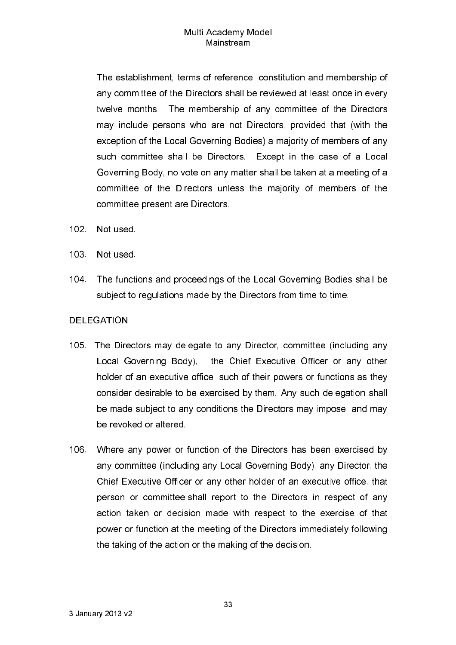The establishment, terms of reference, constitution and membership of any committee of the Directors shall be reviewed at least once in every twelve months. The membership of any committee of the Directors may include persons who are not Directors, provided that (with the exception of the Local Governing Bodies) a majority of members of any such committee shall be Directors. Except in the case of a Local Governing Body, no vote on any matter shall be taken at a meeting of a committee of the Directors unless the majority of members of the committee present are Directors.

- $102 -$ Not used
- $103<sub>1</sub>$ Not used.
- 104. The functions and proceedings of the Local Governing Bodies shall be subject to regulations made by the Directors from time to time.

#### **DELEGATION**

- 105. The Directors may delegate to any Director, committee (including any Local Governing Body), the Chief Executive Officer or any other holder of an executive office, such of their powers or functions as they consider desirable to be exercised by them. Any such delegation shall be made subject to any conditions the Directors may impose, and may be revoked or altered
- 106 Where any power or function of the Directors has been exercised by any committee (including any Local Governing Body), any Director, the Chief Executive Officer or any other holder of an executive office, that person or committee shall report to the Directors in respect of any action taken or decision made with respect to the exercise of that power or function at the meeting of the Directors immediately following the taking of the action or the making of the decision.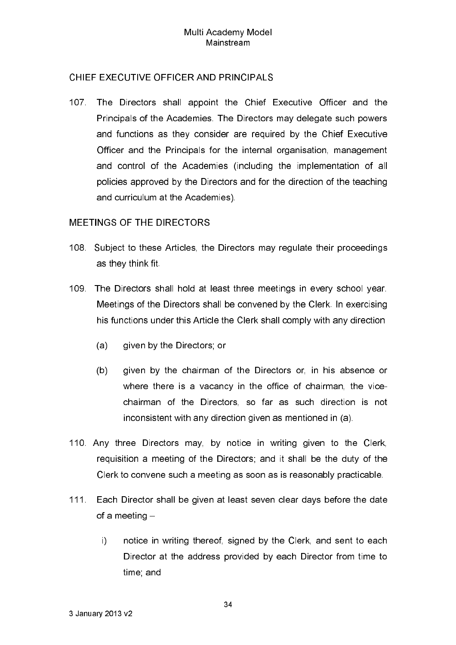# CHIEF EXECUTIVE OFFICER AND PRINCIPALS

The Directors shall appoint the Chief Executive Officer and the 107. . . Principals of the Academies. The Directors may delegate such powers and functions as they consider are required by the Chief Executive Officer and the Principals for the internal organisation, management and control of the Academies (including the implementation of all policies approved by the Directors and for the direction of the teaching and curriculum at the Academies).

# **MEETINGS OF THE DIRECTORS**

- 108. Subject to these Articles, the Directors may regulate their proceedings as they think fit.
- 109. The Directors shall hold at least three meetings in every school year. Meetings of the Directors shall be convened by the Clerk. In exercising his functions under this Article the Clerk shall comply with any direction
	- $(a)$ given by the Directors, or
	- given by the chairman of the Directors or, in his absence or  $(b)$ where there is a vacancy in the office of chairman, the vicechairman of the Directors, so far as such direction is not inconsistent with any direction given as mentioned in (a).
- 110. Any three Directors may, by notice in writing given to the Clerk. requisition a meeting of the Directors; and it shall be the duty of the Clerk to convene such a meeting as soon as is reasonably practicable.
- $111$ Each Director shall be given at least seven clear days before the date of a meeting  $-$ 
	- $\mathbf{i}$ notice in writing thereof, signed by the Clerk, and sent to each Director at the address provided by each Director from time to time; and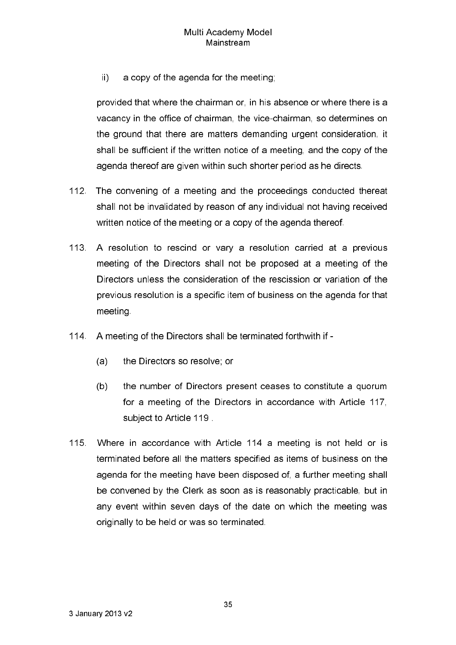$\mathbf{ii}$ a copy of the agenda for the meeting;

provided that where the chairman or, in his absence or where there is a vacancy in the office of chairman, the vice-chairman, so determines on the ground that there are matters demanding urgent consideration, it shall be sufficient if the written notice of a meeting, and the copy of the agenda thereof are given within such shorter period as he directs.

- $112<sub>1</sub>$ The convening of a meeting and the proceedings conducted thereat shall not be invalidated by reason of any individual not having received written notice of the meeting or a copy of the agenda thereof.
- 113. A resolution to rescind or vary a resolution carried at a previous meeting of the Directors shall not be proposed at a meeting of the Directors unless the consideration of the rescission or variation of the previous resolution is a specific item of business on the agenda for that meeting
- 114 A meeting of the Directors shall be terminated forthwith if -
	- $(a)$ the Directors so resolve; or
	- the number of Directors present ceases to constitute a quorum  $(b)$ for a meeting of the Directors in accordance with Article 117, subject to Article 119
- 115. Where in accordance with Article 114 a meeting is not held or is terminated before all the matters specified as items of business on the agenda for the meeting have been disposed of, a further meeting shall be convened by the Clerk as soon as is reasonably practicable, but in any event within seven days of the date on which the meeting was originally to be held or was so terminated.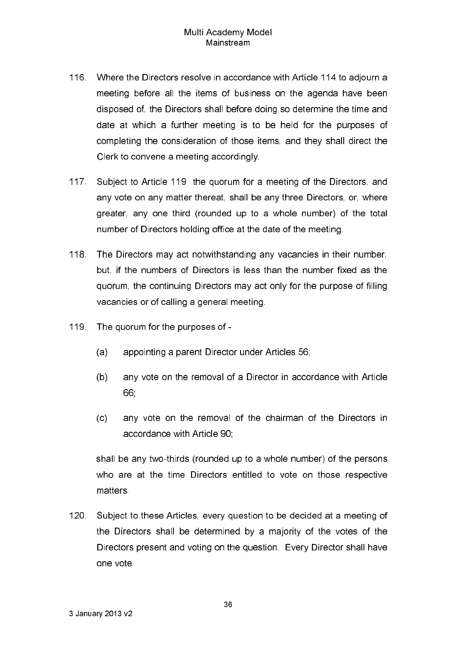- 116. Where the Directors resolve in accordance with Article 114 to adjourn a meeting before all the items of business on the agenda have been disposed of, the Directors shall before doing so determine the time and date at which a further meeting is to be held for the purposes of completing the consideration of those items, and they shall direct the Clerk to convene a meeting accordingly.
- $117$ Subject to Article 119 the quorum for a meeting of the Directors, and any vote on any matter thereat, shall be any three Directors, or, where greater, any one third (rounded up to a whole number) of the total number of Directors holding office at the date of the meeting.
- 118 The Directors may act notwithstanding any vacancies in their number, but, if the numbers of Directors is less than the number fixed as the quorum, the continuing Directors may act only for the purpose of filling vacancies or of calling a general meeting.
- 119. The quorum for the purposes of
	- appointing a parent Director under Articles 56;  $(a)$
	- $(b)$ any vote on the removal of a Director in accordance with Article 66.
	- $(c)$ any vote on the removal of the chairman of the Directors in accordance with Article 90:

shall be any two-thirds (rounded up to a whole number) of the persons who are at the time Directors entitled to vote on those respective matters.

120 Subject to these Articles, every question to be decided at a meeting of the Directors shall be determined by a majority of the votes of the Directors present and voting on the question. Every Director shall have one vote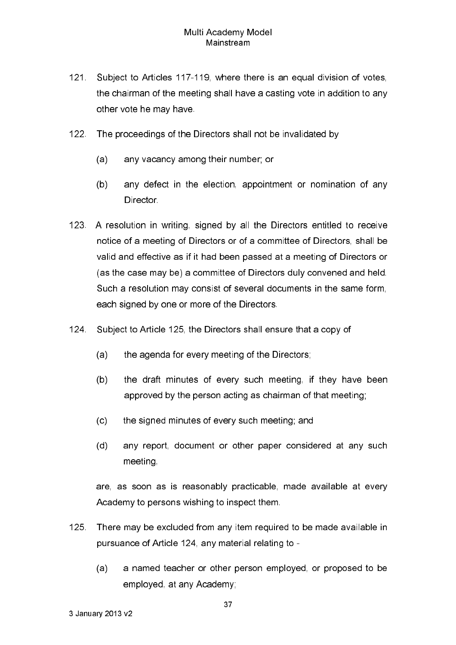- $121$ Subject to Articles 117-119, where there is an equal division of votes, the chairman of the meeting shall have a casting vote in addition to any other vote he may have
- $122$ The proceedings of the Directors shall not be invalidated by
	- $(a)$ any vacancy among their number; or
	- $(b)$ any defect in the election, appointment or nomination of any **Director**
- 123. A resolution in writing, signed by all the Directors entitled to receive notice of a meeting of Directors or of a committee of Directors, shall be valid and effective as if it had been passed at a meeting of Directors or (as the case may be) a committee of Directors duly convened and held. Such a resolution may consist of several documents in the same form, each signed by one or more of the Directors.
- 124 Subject to Article 125, the Directors shall ensure that a copy of
	- $(a)$ the agenda for every meeting of the Directors;
	- $(b)$ the draft minutes of every such meeting, if they have been approved by the person acting as chairman of that meeting;
	- the signed minutes of every such meeting; and  $(c)$
	- $(d)$ any report, document or other paper considered at any such meeting,

are, as soon as is reasonably practicable, made available at every Academy to persons wishing to inspect them.

- $125$ There may be excluded from any item required to be made available in pursuance of Article 124, any material relating to
	- a named teacher or other person emploved, or proposed to be  $(a)$ emploved, at any Academy: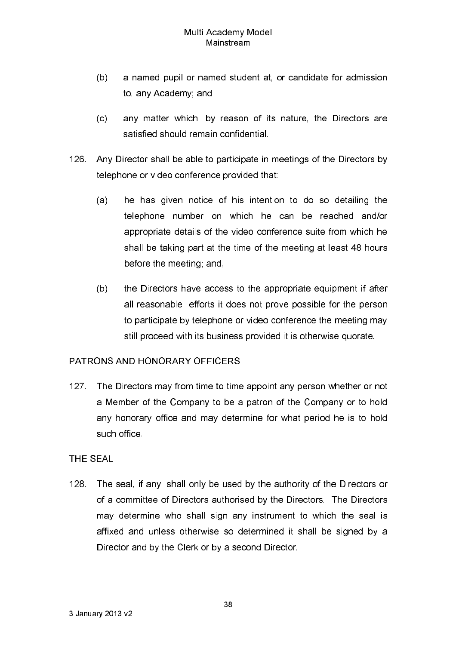- a named pupil or named student at, or candidate for admission  $(b)$ to, any Academy; and
- $(c)$ any matter which, by reason of its nature, the Directors are satisfied should remain confidential.
- 126. Any Director shall be able to participate in meetings of the Directors by telephone or video conference provided that:
	- he has given notice of his intention to do so detailing the  $(a)$ telephone number on which he can be reached and/or appropriate details of the video conference suite from which he shall be taking part at the time of the meeting at least 48 hours before the meeting; and,
	- $(b)$ the Directors have access to the appropriate equipment if after all reasonable efforts it does not prove possible for the person to participate by telephone or video conference the meeting may still proceed with its business provided it is otherwise quorate.

## PATRONS AND HONORARY OFFICERS

 $127<sub>1</sub>$ The Directors may from time to time appoint any person whether or not a Member of the Company to be a patron of the Company or to hold any honorary office and may determine for what period he is to hold such office

## THE SEAL

 $128$ The seal, if any, shall only be used by the authority of the Directors or of a committee of Directors authorised by the Directors. The Directors may determine who shall sign any instrument to which the seal is affixed and unless otherwise so determined it shall be signed by a Director and by the Clerk or by a second Director.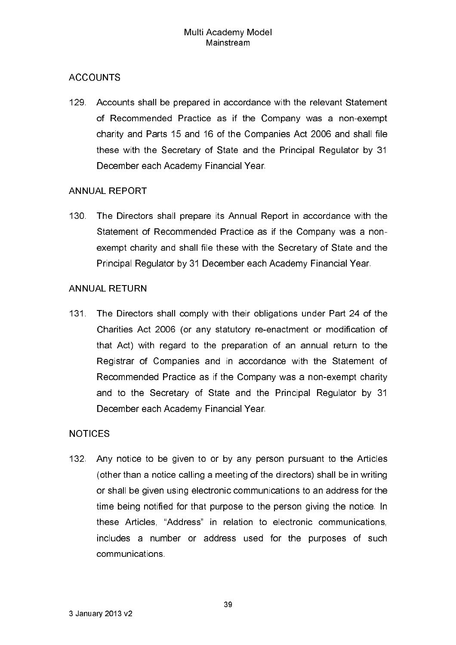# **ACCOUNTS**

129. Accounts shall be prepared in accordance with the relevant Statement of Recommended Practice as if the Company was a non-exempt charity and Parts 15 and 16 of the Companies Act 2006 and shall file these with the Secretary of State and the Principal Regulator by 31 December each Academy Financial Year.

# **ANNUAL REPORT**

130. The Directors shall prepare its Annual Report in accordance with the Statement of Recommended Practice as if the Company was a nonexempt charity and shall file these with the Secretary of State and the Principal Regulator by 31 December each Academy Financial Year.

# **ANNUAL RETURN**

131 The Directors shall comply with their obligations under Part 24 of the Charities Act 2006 (or any statutory re-enactment or modification of that Act) with regard to the preparation of an annual return to the Registrar of Companies and in accordance with the Statement of Recommended Practice as if the Company was a non-exempt charity and to the Secretary of State and the Principal Regulator by 31 December each Academy Financial Year.

# **NOTICES**

132 Any notice to be given to or by any person pursuant to the Articles (other than a notice calling a meeting of the directors) shall be in writing or shall be given using electronic communications to an address for the time being notified for that purpose to the person giving the notice. In these Articles, "Address" in relation to electronic communications, includes a number or address used for the purposes of such communications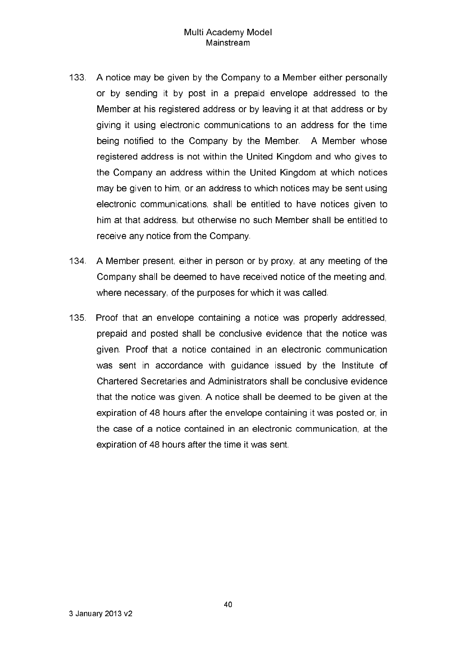- 133. A notice may be given by the Company to a Member either personally or by sending it by post in a prepaid envelope addressed to the Member at his registered address or by leaving it at that address or by giving it using electronic communications to an address for the time being notified to the Company by the Member. A Member whose registered address is not within the United Kingdom and who gives to the Company an address within the United Kingdom at which notices may be given to him, or an address to which notices may be sent using electronic communications, shall be entitled to have notices given to him at that address, but otherwise no such Member shall be entitled to receive any notice from the Company.
- A Member present, either in person or by proxy, at any meeting of the 134. Company shall be deemed to have received notice of the meeting and, where necessary, of the purposes for which it was called.
- 135 Proof that an envelope containing a notice was properly addressed. prepaid and posted shall be conclusive evidence that the notice was given. Proof that a notice contained in an electronic communication was sent in accordance with quidance issued by the Institute of Chartered Secretaries and Administrators shall be conclusive evidence that the notice was given. A notice shall be deemed to be given at the expiration of 48 hours after the envelope containing it was posted or, in the case of a notice contained in an electronic communication, at the expiration of 48 hours after the time it was sent.

40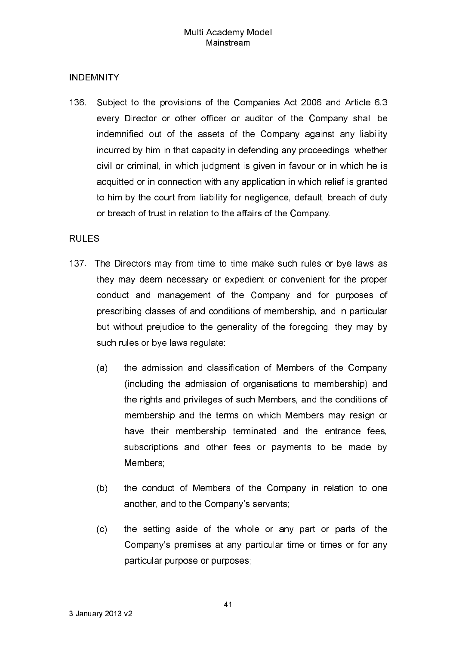# **INDEMNITY**

136. Subject to the provisions of the Companies Act 2006 and Article 6.3 every Director or other officer or auditor of the Company shall be indemnified out of the assets of the Company against any liability incurred by him in that capacity in defending any proceedings, whether civil or criminal, in which judgment is given in favour or in which he is acquitted or in connection with any application in which relief is granted to him by the court from liability for negligence, default, breach of duty or breach of trust in relation to the affairs of the Company.

## **RULES**

- 137. The Directors may from time to time make such rules or bye laws as they may deem necessary or expedient or convenient for the proper conduct and management of the Company and for purposes of prescribing classes of and conditions of membership, and in particular but without prejudice to the generality of the foregoing, they may by such rules or bye laws regulate:
	- $(a)$ the admission and classification of Members of the Company (including the admission of organisations to membership) and the rights and privileges of such Members, and the conditions of membership and the terms on which Members may resign or have their membership terminated and the entrance fees, subscriptions and other fees or payments to be made by Members:
	- the conduct of Members of the Company in relation to one  $(b)$ another, and to the Company's servants;
	- $(c)$ the setting aside of the whole or any part or parts of the Company's premises at any particular time or times or for any particular purpose or purposes;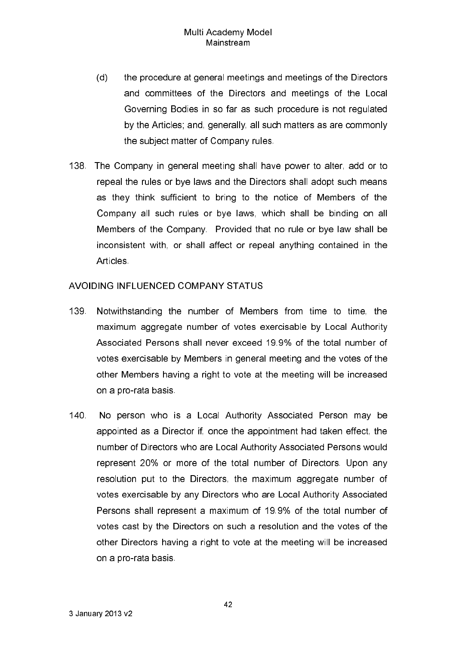- the procedure at general meetings and meetings of the Directors  $(d)$ and committees of the Directors and meetings of the Local Governing Bodies in so far as such procedure is not regulated by the Articles; and, generally, all such matters as are commonly the subject matter of Company rules.
- 138. The Company in general meeting shall have power to alter, add or to repeal the rules or bye laws and the Directors shall adopt such means as they think sufficient to bring to the notice of Members of the Company all such rules or bye laws, which shall be binding on all Members of the Company. Provided that no rule or bye law shall be inconsistent with, or shall affect or repeal anything contained in the **Articles**

### AVOIDING INFLUENCED COMPANY STATUS

- 139. Notwithstanding the number of Members from time to time, the maximum aggregate number of votes exercisable by Local Authority Associated Persons shall never exceed 19.9% of the total number of votes exercisable by Members in general meeting and the votes of the other Members having a right to vote at the meeting will be increased on a pro-rata basis
- 140 No person who is a Local Authority Associated Person may be appointed as a Director if, once the appointment had taken effect, the number of Directors who are Local Authority Associated Persons would represent 20% or more of the total number of Directors. Upon any resolution put to the Directors, the maximum aggregate number of votes exercisable by any Directors who are Local Authority Associated Persons shall represent a maximum of 19.9% of the total number of votes cast by the Directors on such a resolution and the votes of the other Directors having a right to vote at the meeting will be increased on a pro-rata basis.